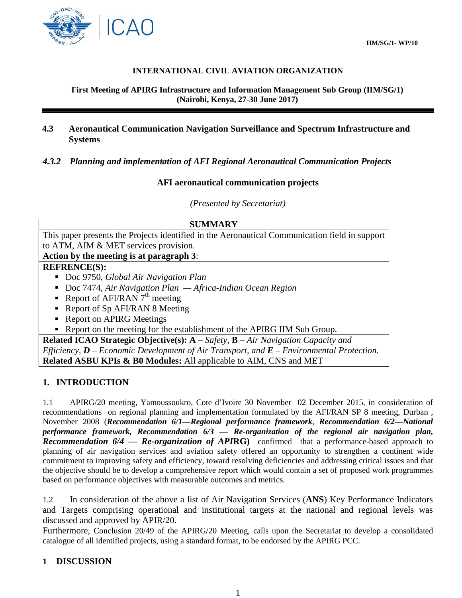

## **INTERNATIONAL CIVIL AVIATION ORGANIZATION**

#### **First Meeting of APIRG Infrastructure and Information Management Sub Group (IIM/SG/1) (Nairobi, Kenya, 27-30 June 2017)**

## **4.3 Aeronautical Communication Navigation Surveillance and Spectrum Infrastructure and Systems**

#### *4.3.2 Planning and implementation of AFI Regional Aeronautical Communication Projects*

#### **AFI aeronautical communication projects**

*(Presented by Secretariat)*

| <b>SUMMARY</b>                                                                                  |
|-------------------------------------------------------------------------------------------------|
| This paper presents the Projects identified in the Aeronautical Communication field in support  |
| to ATM, AIM & MET services provision.                                                           |
| Action by the meeting is at paragraph 3:                                                        |
| <b>REFRENCE(S):</b>                                                                             |
| Doc 9750, Global Air Navigation Plan                                                            |
| Doc 7474, Air Navigation Plan $-A$ frica-Indian Ocean Region                                    |
| Report of AFI/RAN $7th$ meeting                                                                 |
| • Report of Sp AFI/RAN 8 Meeting                                                                |
| • Report on APIRG Meetings                                                                      |
| Report on the meeting for the establishment of the APIRG IIM Sub Group.                         |
| <b>Related ICAO Strategic Objective(s):</b> $A - Safety$ , $B - Air\ Navigation\ Capacity\ and$ |
| Efficiency, $D$ – Economic Development of Air Transport, and $E$ – Environmental Protection.    |
| <b>Related ASBU KPIs &amp; B0 Modules:</b> All applicable to AIM, CNS and MET                   |

## **1. INTRODUCTION**

1.1 APIRG/20 meeting, Yamoussoukro, Cote d'Ivoire 30 November 02 December 2015, in consideration of recommendations on regional planning and implementation formulated by the AFI/RAN SP 8 meeting, Durban , November 2008 (*Recommendation 6/1—Regional performance framework*, *Recommendation 6/2—National performance framework, Recommendation 6/3 — Re-organization of the regional air navigation plan, Recommendation 6/4 — Re-organization of API***RG)** confirmed that a performance-based approach to planning of air navigation services and aviation safety offered an opportunity to strengthen a continent wide commitment to improving safety and efficiency, toward resolving deficiencies and addressing critical issues and that the objective should be to develop a comprehensive report which would contain a set of proposed work programmes based on performance objectives with measurable outcomes and metrics.

1.2 In consideration of the above a list of Air Navigation Services (**ANS**) Key Performance Indicators and Targets comprising operational and institutional targets at the national and regional levels was discussed and approved by APIR/20.

Furthermore, Conclusion 20/49 of the APIRG/20 Meeting, calls upon the Secretariat to develop a consolidated catalogue of all identified projects, using a standard format, to be endorsed by the APIRG PCC.

## **1 DISCUSSION**